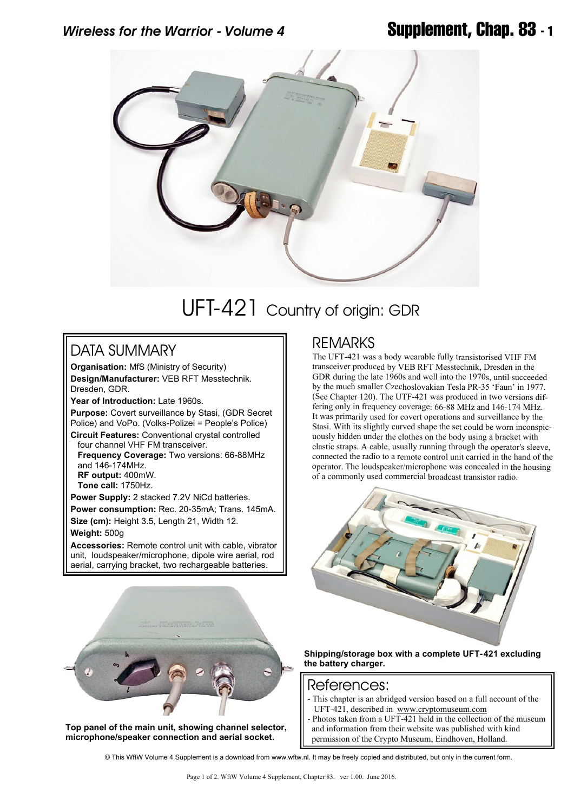

# UFT-421 Country of origin: GDR

### DATA SUMMARY

**Organisation:** MfS (Ministry of Security) **Design/Manufacturer:** VEB RFT Messtechnik. Dresden, GDR.

**Year of Introduction:** Late 1960s. **Purpose:** Covert surveillance by Stasi, (GDR Secret Police) and VoPo. (Volks-Polizei = People's Police)

**Circuit Features:** Conventional crystal controlled four channel VHF FM transceiver.  **Frequency Coverage:** Two versions: 66-88MHz and 146-174MHz. **RF output:** 400mW.  **Tone call:** 1750Hz.

**Power Supply:** 2 stacked 7.2V NiCd batteries. **Power consumption:** Rec. 20-35mA; Trans. 145mA. **Size (cm):** Height 3.5, Length 21, Width 12.

**Weight:** 500g

**Accessories:** Remote control unit with cable, vibrator unit, loudspeaker/microphone, dipole wire aerial, rod aerial, carrying bracket, two rechargeable batteries.

**Top panel of the main unit, showing channel selector, microphone/speaker connection and aerial socket.**

## REMARKS

The UFT-421 was a body wearable fully transistorised VHF FM transceiver produced by VEB RFT Messtechnik, Dresden in the GDR during the late 1960s and well into the 1970s, until succeeded by the much smaller Czechoslovakian Tesla PR-35 'Faun' in 1977. (See Chapter 120). The UTF-421 was produced in two versions differing only in frequency coverage: 66-88 MHz and 146-174 MHz. It was primarily used for covert operations and surveillance by the Stasi. With its slightly curved shape the set could be worn inconspicuously hidden under the clothes on the body using a bracket with elastic straps. A cable, usually running through the operator's sleeve, connected the radio to a remote control unit carried in the hand of the operator. The loudspeaker/microphone was concealed in the housing of a commonly used commercial broadcast transistor radio.



**Shipping/storage box with a complete UFT-421 excluding the battery charger.**

#### References:

- This chapter is an abridged version based on a full account of the UFT-421, described in <www.cryptomuseum.com>
- Photos taken from a UFT-421 held in the collection of the museum and information from their website was published with kind permission of the Crypto Museum, Eindhoven, Holland.

© This WftW Volume 4 Supplement is a download from www.wftw.nl. It may be freely copied and distributed, but only in the current form.